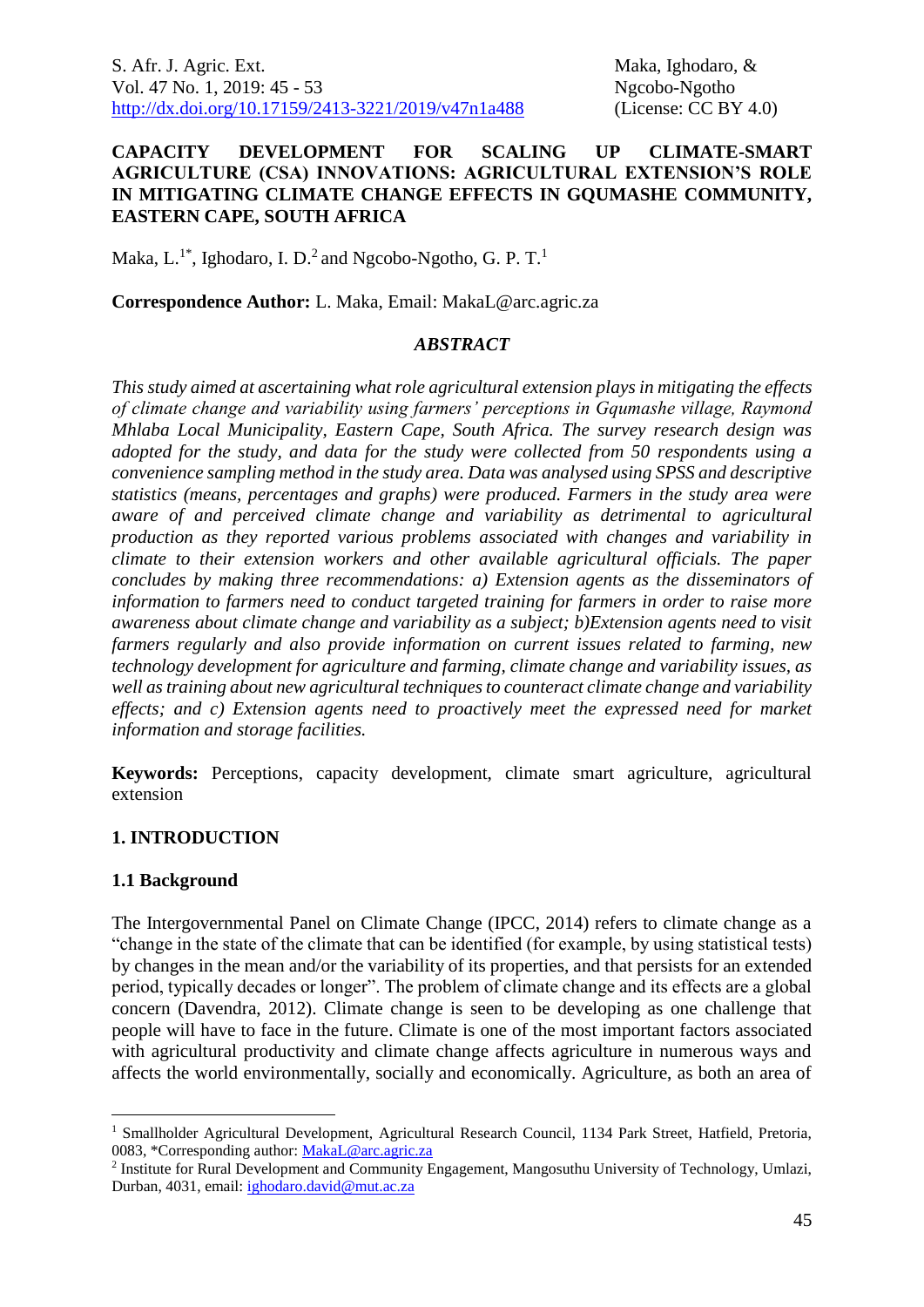S. Afr. J. Agric. Ext. **Maka, Ighodaro**, & Vol. 47 No. 1, 2019: 45 - 53 Ngcobo-Ngotho [http://dx.doi.org/10.17159/2413-3221/2019/v47n1a488](https://urldefense.proofpoint.com/v2/url?u=http-3A__dx.doi.org_10.17159_2413-2D3221_2019_v47n1a485&d=DwMFAg&c=vTCSeBKl9YZZHWJzz-zQUQ&r=2O1irMqrdumXAIE9PdSLREhTXj5iyPGEywcz8I6zQwI&m=niwmmhX1mCI8GpeJjK8D7j-v09hQgXHBu3LsS3Opojw&s=98o8gy8B6ly02TS5WoJvLScIQPXENi4ceK3R3c9Iu9c&e=) (License: CC BY 4.0)

### **CAPACITY DEVELOPMENT FOR SCALING UP CLIMATE-SMART AGRICULTURE (CSA) INNOVATIONS: AGRICULTURAL EXTENSION'S ROLE IN MITIGATING CLIMATE CHANGE EFFECTS IN GQUMASHE COMMUNITY, EASTERN CAPE, SOUTH AFRICA**

Maka, L.<sup>1\*</sup>, Ighodaro, I. D.<sup>2</sup> and Ngcobo-Ngotho, G. P. T.<sup>1</sup>

**Correspondence Author:** L. Maka, Email: MakaL@arc.agric.za

### *ABSTRACT*

*This study aimed at ascertaining what role agricultural extension plays in mitigating the effects of climate change and variability using farmers' perceptions in Gqumashe village, Raymond Mhlaba Local Municipality, Eastern Cape, South Africa. The survey research design was adopted for the study, and data for the study were collected from 50 respondents using a convenience sampling method in the study area. Data was analysed using SPSS and descriptive statistics (means, percentages and graphs) were produced. Farmers in the study area were aware of and perceived climate change and variability as detrimental to agricultural production as they reported various problems associated with changes and variability in climate to their extension workers and other available agricultural officials. The paper concludes by making three recommendations: a) Extension agents as the disseminators of information to farmers need to conduct targeted training for farmers in order to raise more awareness about climate change and variability as a subject; b)Extension agents need to visit farmers regularly and also provide information on current issues related to farming, new technology development for agriculture and farming, climate change and variability issues, as well as training about new agricultural techniques to counteract climate change and variability effects; and c) Extension agents need to proactively meet the expressed need for market information and storage facilities.*

**Keywords:** Perceptions, capacity development, climate smart agriculture, agricultural extension

### **1. INTRODUCTION**

#### **1.1 Background**

<u>.</u>

The Intergovernmental Panel on Climate Change (IPCC, 2014) refers to climate change as a "change in the state of the climate that can be identified (for example, by using statistical tests) by changes in the mean and/or the variability of its properties, and that persists for an extended period, typically decades or longer". The problem of climate change and its effects are a global concern (Davendra, 2012). Climate change is seen to be developing as one challenge that people will have to face in the future. Climate is one of the most important factors associated with agricultural productivity and climate change affects agriculture in numerous ways and affects the world environmentally, socially and economically. Agriculture, as both an area of

<sup>&</sup>lt;sup>1</sup> Smallholder Agricultural Development, Agricultural Research Council, 1134 Park Street, Hatfield, Pretoria, 0083, \*Corresponding author: [MakaL@arc.agric.za](mailto:MakaL@arc.agric.za)

<sup>&</sup>lt;sup>2</sup> Institute for Rural Development and Community Engagement, Mangosuthu University of Technology, Umlazi, Durban, 4031, email: [ighodaro.david@mut.ac.za](mailto:ighodaro.david@mut.ac.za)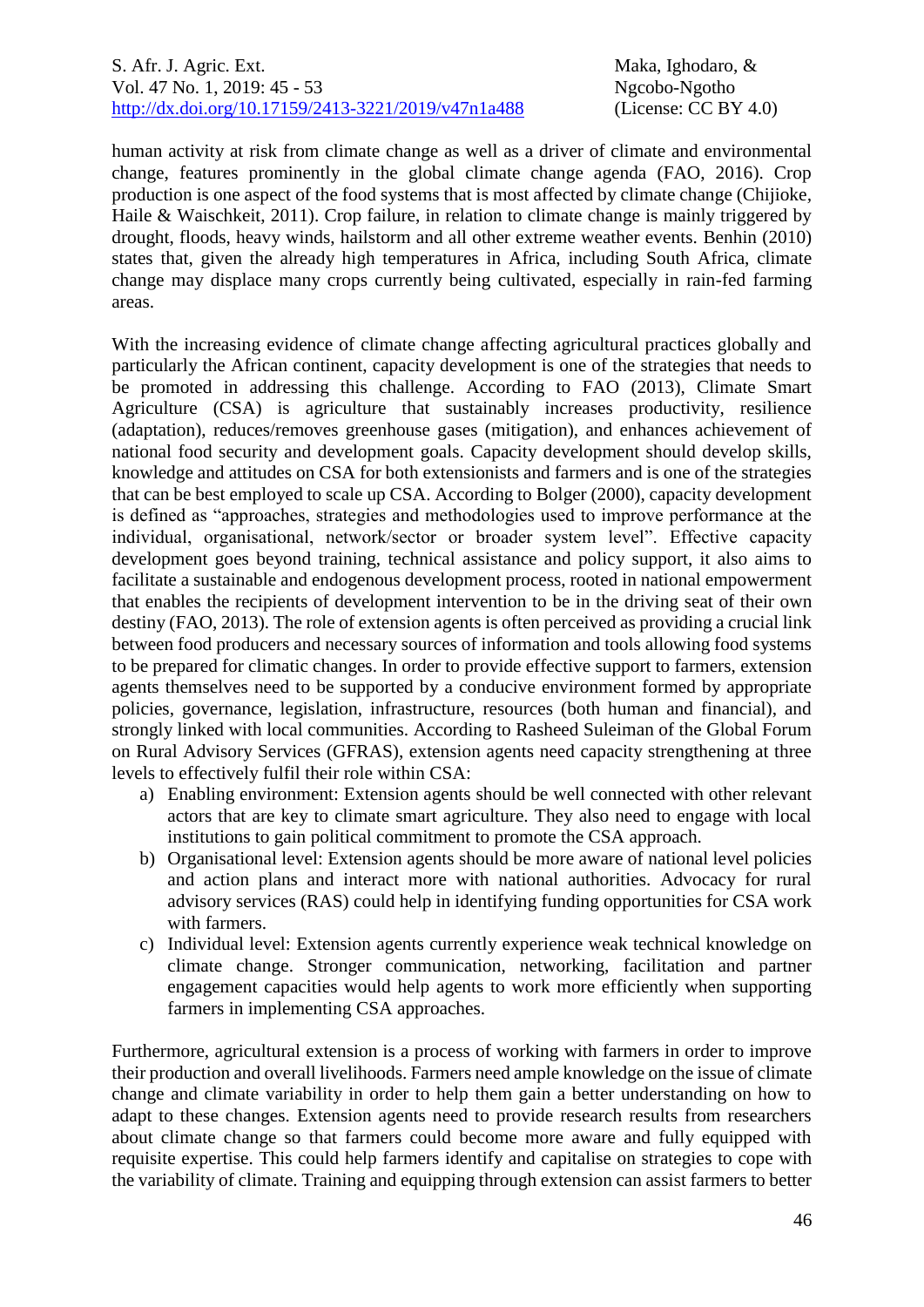### S. Afr. J. Agric. Ext. **Maka, Ighodaro**, & Vol. 47 No. 1, 2019: 45 - 53 Ngcobo-Ngotho [http://dx.doi.org/10.17159/2413-3221/2019/v47n1a488](https://urldefense.proofpoint.com/v2/url?u=http-3A__dx.doi.org_10.17159_2413-2D3221_2019_v47n1a485&d=DwMFAg&c=vTCSeBKl9YZZHWJzz-zQUQ&r=2O1irMqrdumXAIE9PdSLREhTXj5iyPGEywcz8I6zQwI&m=niwmmhX1mCI8GpeJjK8D7j-v09hQgXHBu3LsS3Opojw&s=98o8gy8B6ly02TS5WoJvLScIQPXENi4ceK3R3c9Iu9c&e=) (License: CC BY 4.0)

human activity at risk from climate change as well as a driver of climate and environmental change, features prominently in the global climate change agenda (FAO, 2016). Crop production is one aspect of the food systems that is most affected by climate change (Chijioke*,*  Haile & Waischkeit, 2011). Crop failure, in relation to climate change is mainly triggered by drought, floods, heavy winds, hailstorm and all other extreme weather events. Benhin (2010) states that, given the already high temperatures in Africa, including South Africa, climate change may displace many crops currently being cultivated, especially in rain-fed farming areas.

With the increasing evidence of climate change affecting agricultural practices globally and particularly the African continent, capacity development is one of the strategies that needs to be promoted in addressing this challenge. According to FAO (2013), Climate Smart Agriculture (CSA) is agriculture that sustainably increases productivity, resilience (adaptation), reduces/removes greenhouse gases (mitigation), and enhances achievement of national food security and development goals. Capacity development should develop skills, knowledge and attitudes on CSA for both extensionists and farmers and is one of the strategies that can be best employed to scale up CSA. According to Bolger (2000), capacity development is defined as "approaches, strategies and methodologies used to improve performance at the individual, organisational, network/sector or broader system level". Effective capacity development goes beyond training, technical assistance and policy support, it also aims to facilitate a sustainable and endogenous development process, rooted in national empowerment that enables the recipients of development intervention to be in the driving seat of their own destiny (FAO, 2013). The role of extension agents is often perceived as providing a crucial link between food producers and necessary sources of information and tools allowing food systems to be prepared for climatic changes. In order to provide effective support to farmers, extension agents themselves need to be supported by a conducive environment formed by appropriate policies, governance, legislation, infrastructure, resources (both human and financial), and strongly linked with local communities. According to Rasheed Suleiman of the Global Forum on Rural Advisory Services (GFRAS), extension agents need capacity strengthening at three levels to effectively fulfil their role within CSA:

- a) Enabling environment: Extension agents should be well connected with other relevant actors that are key to climate smart agriculture. They also need to engage with local institutions to gain political commitment to promote the CSA approach.
- b) Organisational level: Extension agents should be more aware of national level policies and action plans and interact more with national authorities. Advocacy for rural advisory services (RAS) could help in identifying funding opportunities for CSA work with farmers.
- c) Individual level: Extension agents currently experience weak technical knowledge on climate change. Stronger communication, networking, facilitation and partner engagement capacities would help agents to work more efficiently when supporting farmers in implementing CSA approaches.

Furthermore, agricultural extension is a process of working with farmers in order to improve their production and overall livelihoods. Farmers need ample knowledge on the issue of climate change and climate variability in order to help them gain a better understanding on how to adapt to these changes. Extension agents need to provide research results from researchers about climate change so that farmers could become more aware and fully equipped with requisite expertise. This could help farmers identify and capitalise on strategies to cope with the variability of climate. Training and equipping through extension can assist farmers to better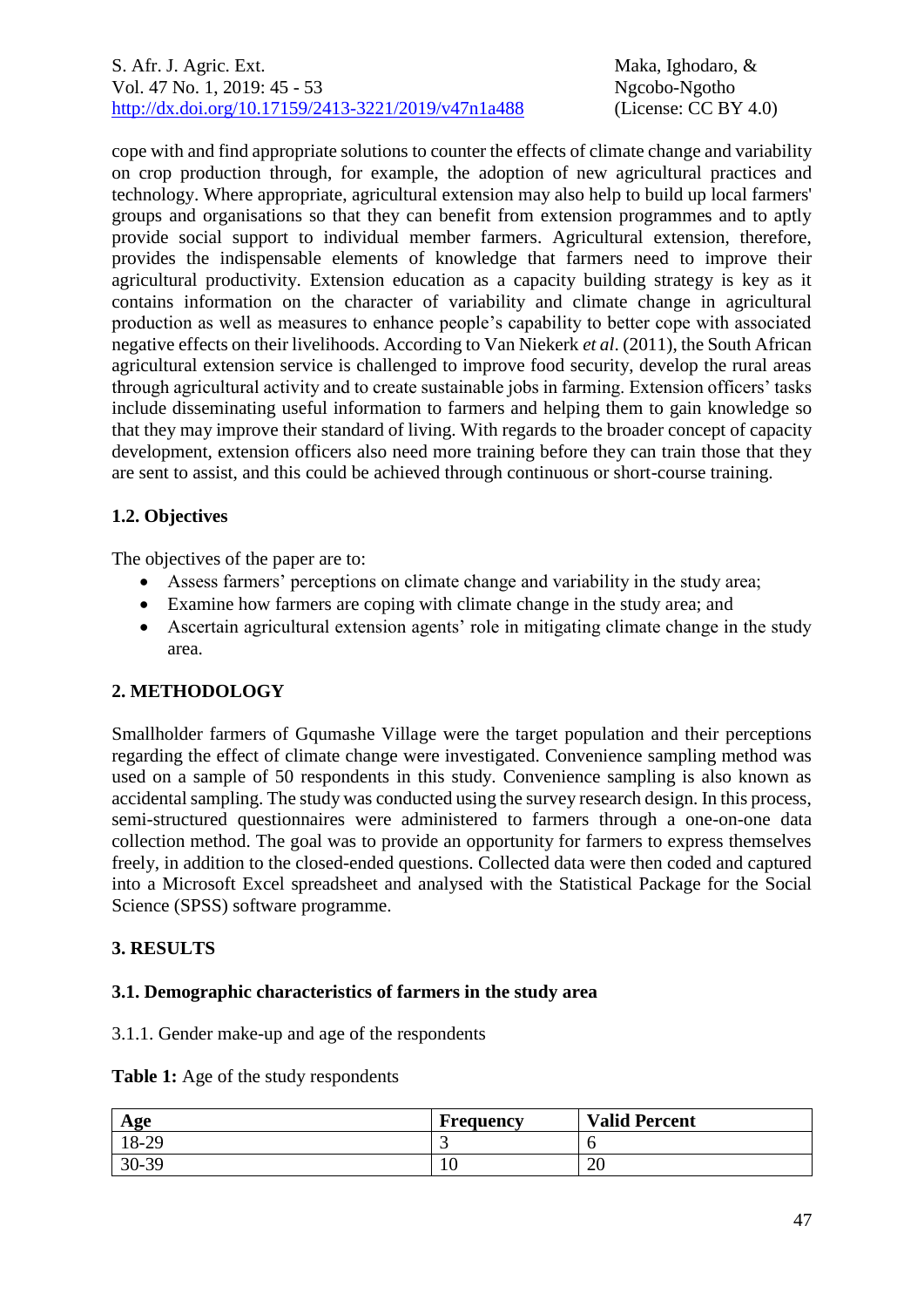cope with and find appropriate solutions to counter the effects of climate change and variability on crop production through, for example, the adoption of new agricultural practices and technology. Where appropriate, agricultural extension may also help to build up local farmers' groups and organisations so that they can benefit from extension programmes and to aptly provide social support to individual member farmers. Agricultural extension, therefore, provides the indispensable elements of knowledge that farmers need to improve their agricultural productivity. Extension education as a capacity building strategy is key as it contains information on the character of variability and climate change in agricultural production as well as measures to enhance people's capability to better cope with associated negative effects on their livelihoods. According to Van Niekerk *et al*. (2011), the South African agricultural extension service is challenged to improve food security, develop the rural areas through agricultural activity and to create sustainable jobs in farming. Extension officers' tasks include disseminating useful information to farmers and helping them to gain knowledge so that they may improve their standard of living. With regards to the broader concept of capacity development, extension officers also need more training before they can train those that they are sent to assist, and this could be achieved through continuous or short-course training.

# **1.2. Objectives**

The objectives of the paper are to:

- Assess farmers' perceptions on climate change and variability in the study area;
- Examine how farmers are coping with climate change in the study area; and
- Ascertain agricultural extension agents' role in mitigating climate change in the study area.

## **2. METHODOLOGY**

Smallholder farmers of Gqumashe Village were the target population and their perceptions regarding the effect of climate change were investigated. Convenience sampling method was used on a sample of 50 respondents in this study. Convenience sampling is also known as accidental sampling. The study was conducted using the survey research design. In this process, semi-structured questionnaires were administered to farmers through a one-on-one data collection method. The goal was to provide an opportunity for farmers to express themselves freely, in addition to the closed-ended questions. Collected data were then coded and captured into a Microsoft Excel spreadsheet and analysed with the Statistical Package for the Social Science (SPSS) software programme.

## **3. RESULTS**

### **3.1. Demographic characteristics of farmers in the study area**

3.1.1. Gender make-up and age of the respondents

|  |  |  | Table 1: Age of the study respondents |
|--|--|--|---------------------------------------|
|--|--|--|---------------------------------------|

| Age       | Frequency | <b>Valid Percent</b> |
|-----------|-----------|----------------------|
| 18-29     | ت         |                      |
| $30 - 39$ | ιv        | $\mathbf{a}$<br>∠∪   |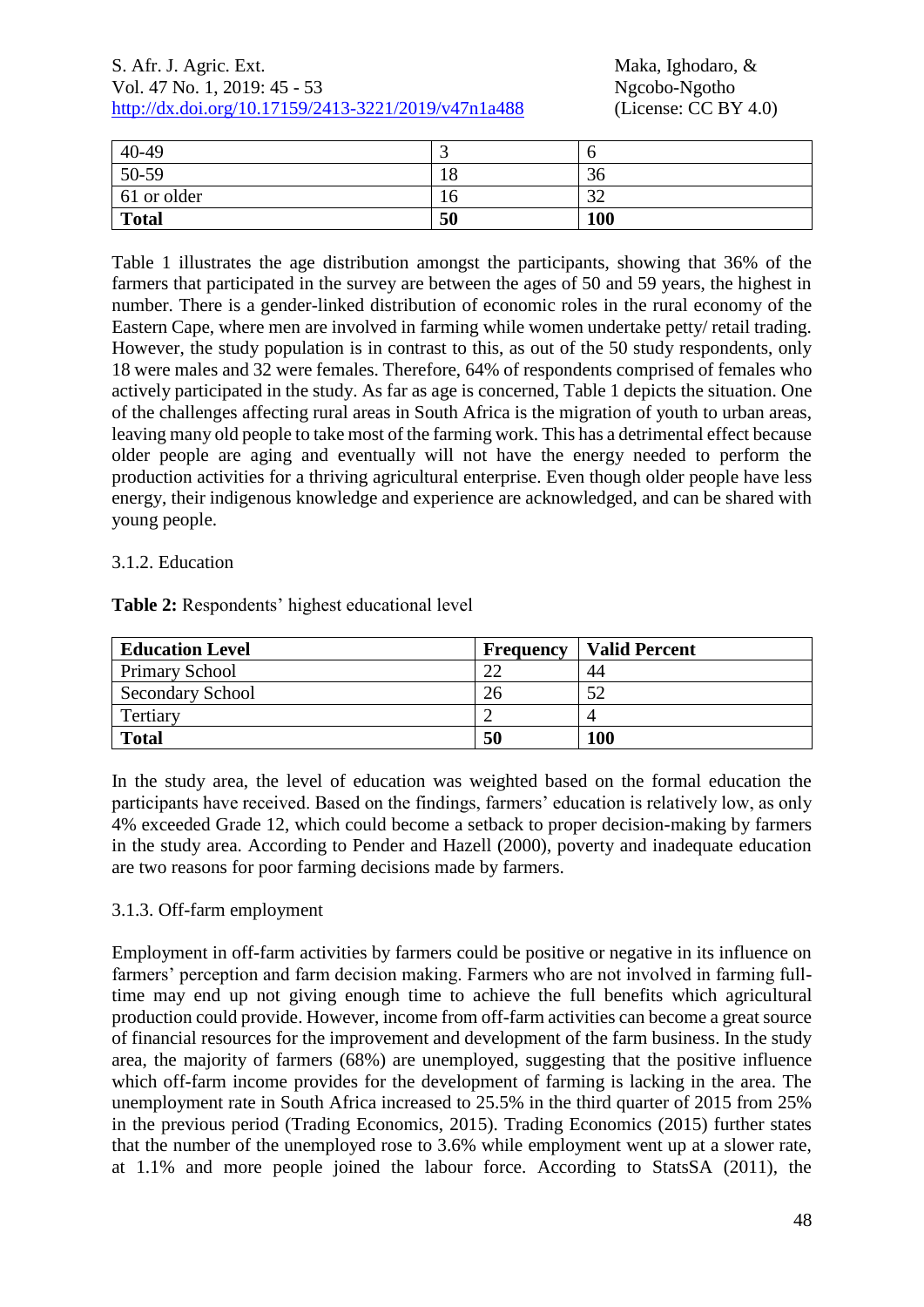### S. Afr. J. Agric. Ext. Maka, Ighodaro, & Vol. 47 No. 1, 2019: 45 - 53 Ngcobo-Ngotho<br>http://dx.doi.org/10.17159/2413-3221/2019/v47n1a488 (License: CC BY 4.0) [http://dx.doi.org/10.17159/2413-3221/2019/v47n1a488](https://urldefense.proofpoint.com/v2/url?u=http-3A__dx.doi.org_10.17159_2413-2D3221_2019_v47n1a485&d=DwMFAg&c=vTCSeBKl9YZZHWJzz-zQUQ&r=2O1irMqrdumXAIE9PdSLREhTXj5iyPGEywcz8I6zQwI&m=niwmmhX1mCI8GpeJjK8D7j-v09hQgXHBu3LsS3Opojw&s=98o8gy8B6ly02TS5WoJvLScIQPXENi4ceK3R3c9Iu9c&e=)

| $40-49$      | ت         |                 |
|--------------|-----------|-----------------|
| 50-59        | 18        | 36              |
| 61 or older  | $10^{-7}$ | $\Omega$<br>ے ر |
| <b>Total</b> | 50        | 100             |

Table 1 illustrates the age distribution amongst the participants, showing that 36% of the farmers that participated in the survey are between the ages of 50 and 59 years, the highest in number. There is a gender-linked distribution of economic roles in the rural economy of the Eastern Cape, where men are involved in farming while women undertake petty/ retail trading. However, the study population is in contrast to this, as out of the 50 study respondents, only 18 were males and 32 were females. Therefore, 64% of respondents comprised of females who actively participated in the study. As far as age is concerned, Table 1 depicts the situation. One of the challenges affecting rural areas in South Africa is the migration of youth to urban areas, leaving many old people to take most of the farming work. This has a detrimental effect because older people are aging and eventually will not have the energy needed to perform the production activities for a thriving agricultural enterprise. Even though older people have less energy, their indigenous knowledge and experience are acknowledged, and can be shared with young people.

### 3.1.2. Education

**Table 2:** Respondents' highest educational level

| <b>Education Level</b>  | Frequency          | <b>Valid Percent</b> |
|-------------------------|--------------------|----------------------|
| <b>Primary School</b>   | $\mathcal{D} \cap$ | 44                   |
| <b>Secondary School</b> | 26                 | 50                   |
| Tertiary                |                    |                      |
| <b>Total</b>            | 50                 | 100                  |

In the study area, the level of education was weighted based on the formal education the participants have received. Based on the findings, farmers' education is relatively low, as only 4% exceeded Grade 12, which could become a setback to proper decision-making by farmers in the study area. According to Pender and Hazell (2000), poverty and inadequate education are two reasons for poor farming decisions made by farmers.

## 3.1.3. Off-farm employment

Employment in off-farm activities by farmers could be positive or negative in its influence on farmers' perception and farm decision making. Farmers who are not involved in farming fulltime may end up not giving enough time to achieve the full benefits which agricultural production could provide. However, income from off-farm activities can become a great source of financial resources for the improvement and development of the farm business. In the study area, the majority of farmers (68%) are unemployed, suggesting that the positive influence which off-farm income provides for the development of farming is lacking in the area. The unemployment rate in South Africa increased to 25.5% in the third quarter of 2015 from 25% in the previous period (Trading Economics, 2015). Trading Economics (2015) further states that the number of the unemployed rose to 3.6% while employment went up at a slower rate, at 1.1% and more people joined the labour force. According to StatsSA (2011), the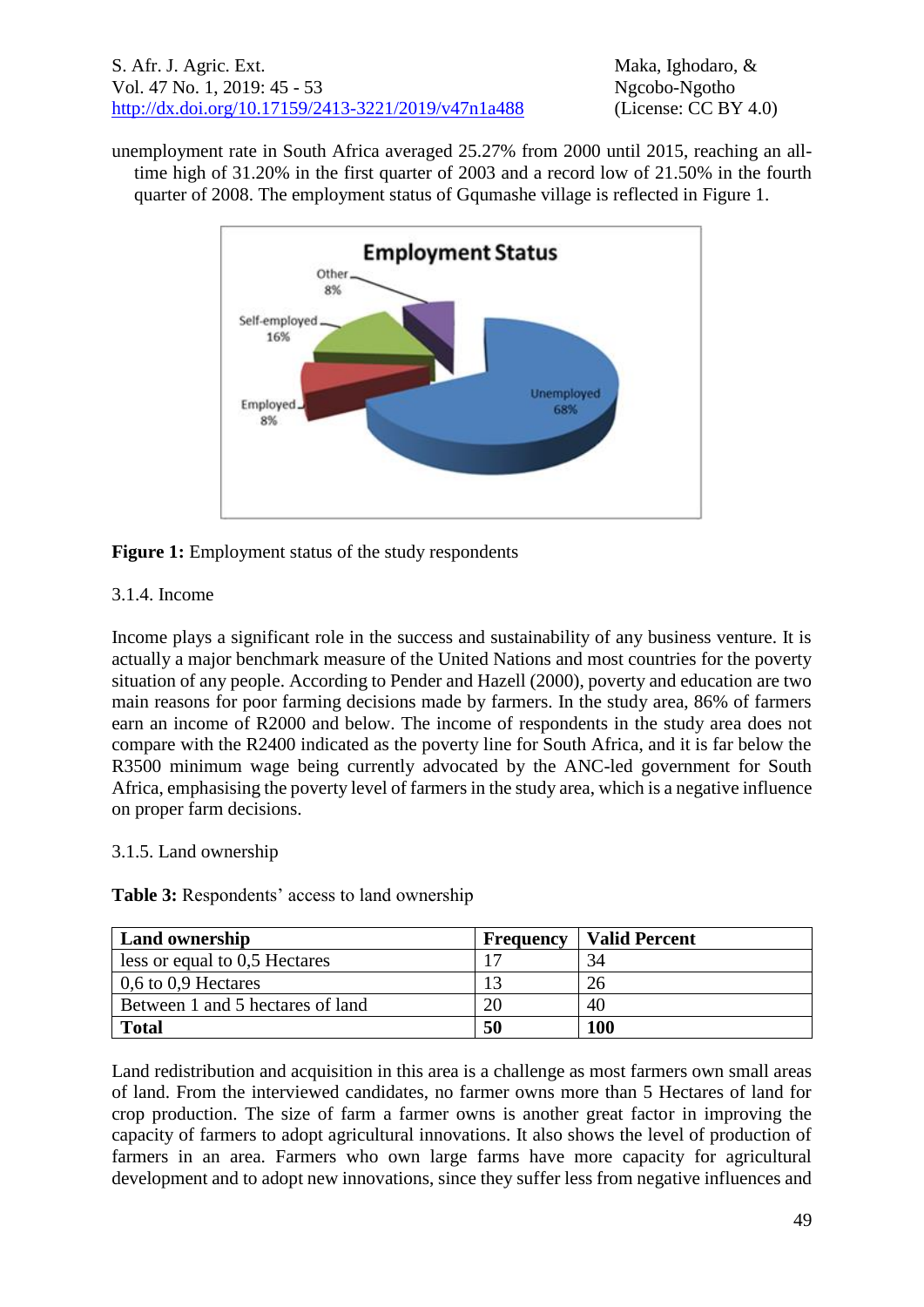unemployment rate in South Africa averaged 25.27% from 2000 until 2015, reaching an alltime high of 31.20% in the first quarter of 2003 and a record low of 21.50% in the fourth quarter of 2008. The employment status of Gqumashe village is reflected in Figure 1.



# **Figure 1:** Employment status of the study respondents

## 3.1.4. Income

Income plays a significant role in the success and sustainability of any business venture. It is actually a major benchmark measure of the United Nations and most countries for the poverty situation of any people. According to Pender and Hazell (2000), poverty and education are two main reasons for poor farming decisions made by farmers. In the study area, 86% of farmers earn an income of R2000 and below. The income of respondents in the study area does not compare with the R2400 indicated as the poverty line for South Africa, and it is far below the R3500 minimum wage being currently advocated by the ANC-led government for South Africa, emphasising the poverty level of farmers in the study area, which is a negative influence on proper farm decisions.

## 3.1.5. Land ownership

**Table 3:** Respondents' access to land ownership

| <b>Land ownership</b>            | <b>Frequency</b> | <b>Valid Percent</b> |
|----------------------------------|------------------|----------------------|
| less or equal to 0,5 Hectares    |                  | 34                   |
| 0,6 to 0,9 Hectares              |                  | 26                   |
| Between 1 and 5 hectares of land | 20               | 40                   |
| <b>Total</b>                     | 50               | 100                  |

Land redistribution and acquisition in this area is a challenge as most farmers own small areas of land. From the interviewed candidates, no farmer owns more than 5 Hectares of land for crop production. The size of farm a farmer owns is another great factor in improving the capacity of farmers to adopt agricultural innovations. It also shows the level of production of farmers in an area. Farmers who own large farms have more capacity for agricultural development and to adopt new innovations, since they suffer less from negative influences and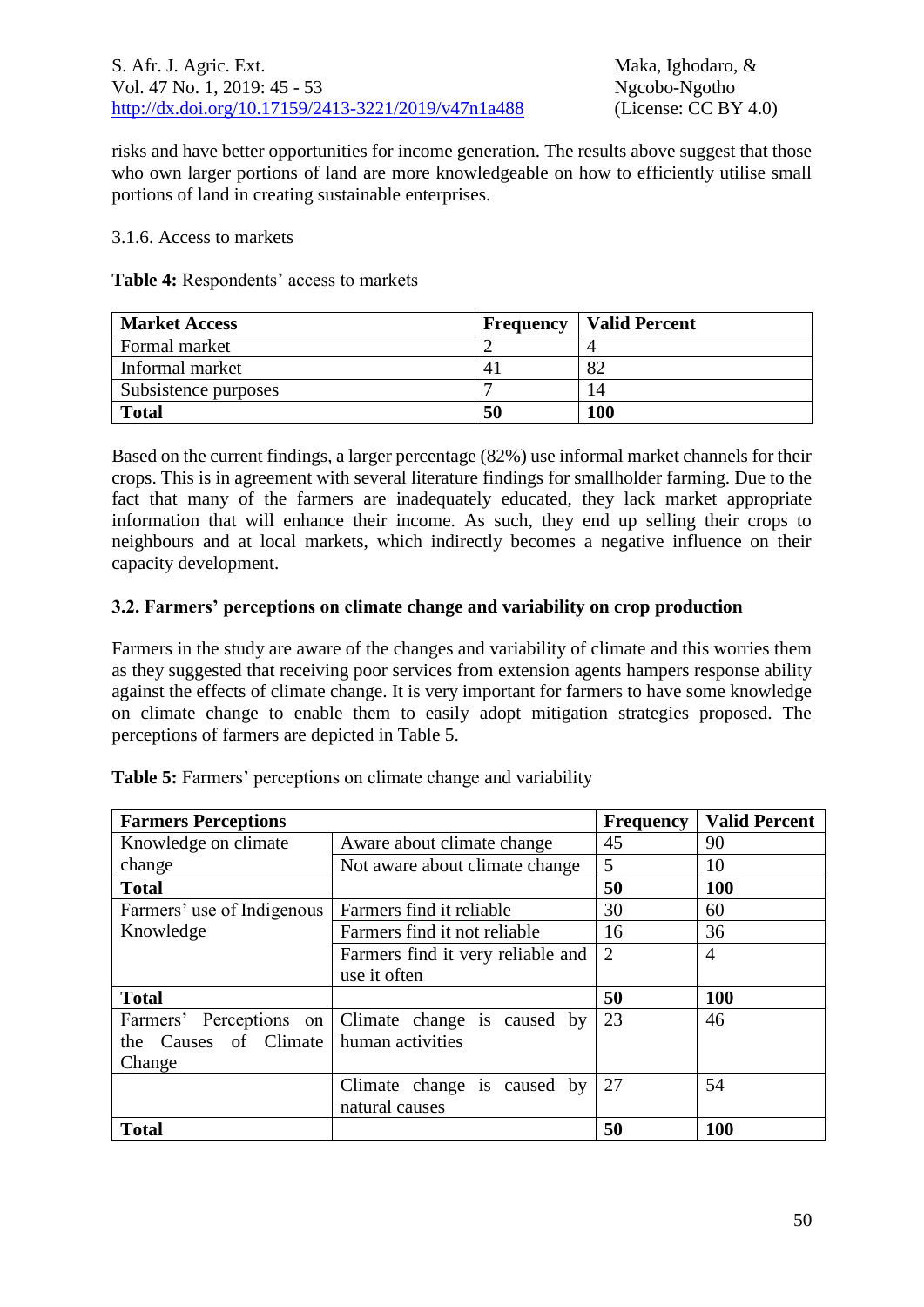risks and have better opportunities for income generation. The results above suggest that those who own larger portions of land are more knowledgeable on how to efficiently utilise small portions of land in creating sustainable enterprises.

#### 3.1.6. Access to markets

**Table 4:** Respondents' access to markets

| <b>Market Access</b> | <b>Frequency</b> | <b>Valid Percent</b> |
|----------------------|------------------|----------------------|
| Formal market        |                  |                      |
| Informal market      | 4                | 82                   |
| Subsistence purposes |                  | 14                   |
| <b>Total</b>         | 50               | 100                  |

Based on the current findings, a larger percentage (82%) use informal market channels for their crops. This is in agreement with several literature findings for smallholder farming. Due to the fact that many of the farmers are inadequately educated, they lack market appropriate information that will enhance their income. As such, they end up selling their crops to neighbours and at local markets, which indirectly becomes a negative influence on their capacity development.

### **3.2. Farmers' perceptions on climate change and variability on crop production**

Farmers in the study are aware of the changes and variability of climate and this worries them as they suggested that receiving poor services from extension agents hampers response ability against the effects of climate change. It is very important for farmers to have some knowledge on climate change to enable them to easily adopt mitigation strategies proposed. The perceptions of farmers are depicted in Table 5.

| <b>Farmers Perceptions</b> |                                                     | <b>Frequency</b> | <b>Valid Percent</b> |
|----------------------------|-----------------------------------------------------|------------------|----------------------|
| Knowledge on climate       | Aware about climate change                          | 45               | 90                   |
| change                     | Not aware about climate change                      | 5                | 10                   |
| <b>Total</b>               |                                                     | 50               | 100                  |
| Farmers' use of Indigenous | Farmers find it reliable                            | 30               | 60                   |
| Knowledge                  | Farmers find it not reliable                        | 16               | 36                   |
|                            | Farmers find it very reliable and                   | 2                | $\overline{4}$       |
|                            | use it often                                        |                  |                      |
| <b>Total</b>               |                                                     | 50               | <b>100</b>           |
|                            | Farmers' Perceptions on Climate change is caused by | 23               | 46                   |
| the Causes of Climate      | human activities                                    |                  |                      |
| Change                     |                                                     |                  |                      |
|                            | Climate change is caused by                         | 27               | 54                   |
|                            | natural causes                                      |                  |                      |
| <b>Total</b>               |                                                     | 50               | 100                  |

**Table 5:** Farmers' perceptions on climate change and variability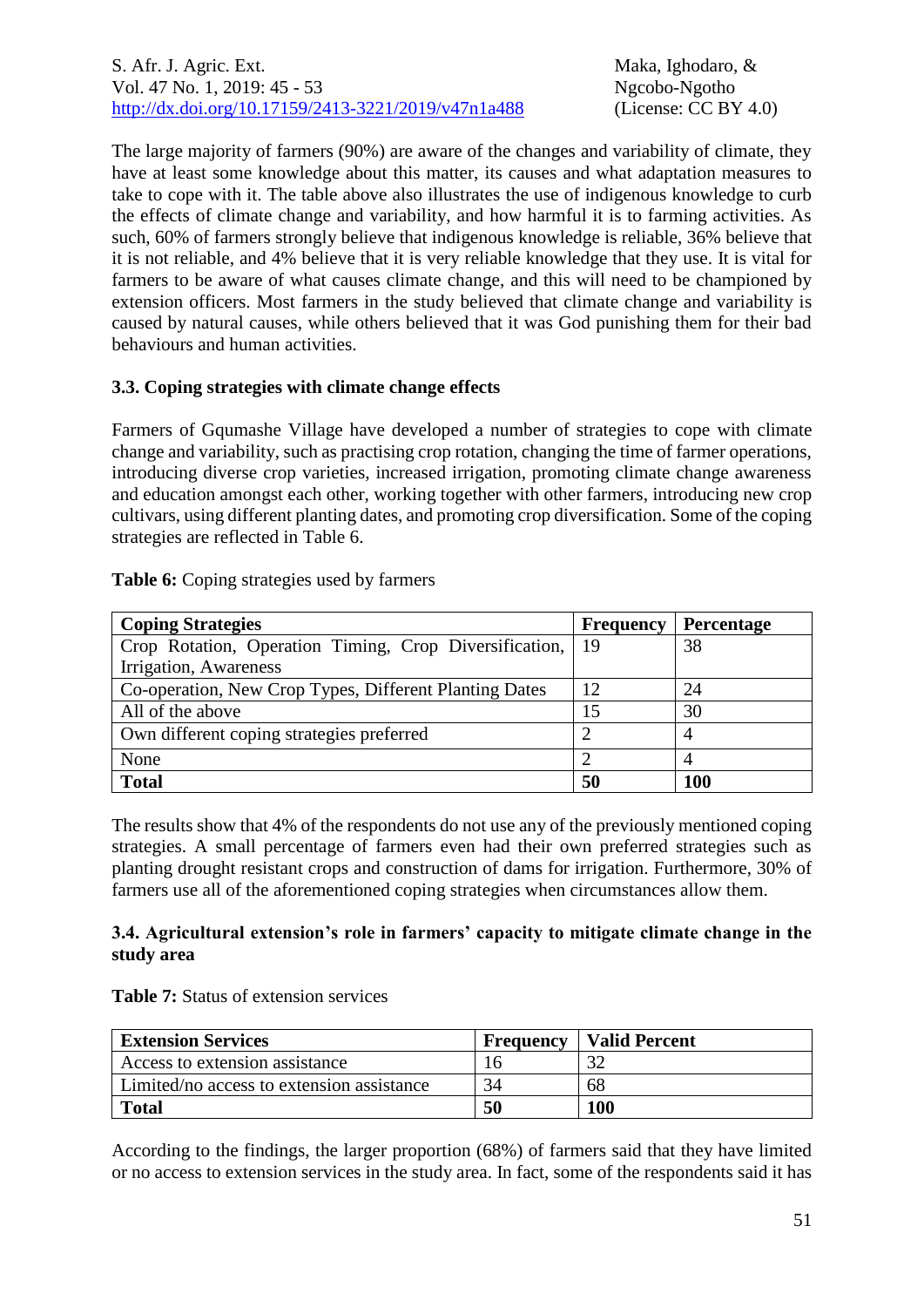The large majority of farmers (90%) are aware of the changes and variability of climate, they have at least some knowledge about this matter, its causes and what adaptation measures to take to cope with it. The table above also illustrates the use of indigenous knowledge to curb the effects of climate change and variability, and how harmful it is to farming activities. As such, 60% of farmers strongly believe that indigenous knowledge is reliable, 36% believe that it is not reliable, and 4% believe that it is very reliable knowledge that they use. It is vital for farmers to be aware of what causes climate change, and this will need to be championed by extension officers. Most farmers in the study believed that climate change and variability is caused by natural causes, while others believed that it was God punishing them for their bad behaviours and human activities.

## **3.3. Coping strategies with climate change effects**

Farmers of Gqumashe Village have developed a number of strategies to cope with climate change and variability, such as practising crop rotation, changing the time of farmer operations, introducing diverse crop varieties, increased irrigation, promoting climate change awareness and education amongst each other, working together with other farmers, introducing new crop cultivars, using different planting dates, and promoting crop diversification. Some of the coping strategies are reflected in Table 6.

### **Table 6:** Coping strategies used by farmers

| <b>Coping Strategies</b>                               | <b>Frequency</b> | <b>Percentage</b> |
|--------------------------------------------------------|------------------|-------------------|
| Crop Rotation, Operation Timing, Crop Diversification, | 19               | 38                |
| Irrigation, Awareness                                  |                  |                   |
| Co-operation, New Crop Types, Different Planting Dates | 12               | 24                |
| All of the above                                       | 15               | 30                |
| Own different coping strategies preferred              |                  | 4                 |
| None                                                   |                  |                   |
| <b>Total</b>                                           | 50               | <b>100</b>        |

The results show that 4% of the respondents do not use any of the previously mentioned coping strategies. A small percentage of farmers even had their own preferred strategies such as planting drought resistant crops and construction of dams for irrigation. Furthermore, 30% of farmers use all of the aforementioned coping strategies when circumstances allow them.

### **3.4. Agricultural extension's role in farmers' capacity to mitigate climate change in the study area**

| <b>Table 7:</b> Status of extension services |
|----------------------------------------------|
|----------------------------------------------|

| <b>Extension Services</b>                 | <b>Frequency</b> | <b>Valid Percent</b> |
|-------------------------------------------|------------------|----------------------|
| Access to extension assistance            |                  |                      |
| Limited/no access to extension assistance | 34               | 68                   |
| <b>Total</b>                              | 50               | <b>100</b>           |

According to the findings, the larger proportion (68%) of farmers said that they have limited or no access to extension services in the study area. In fact, some of the respondents said it has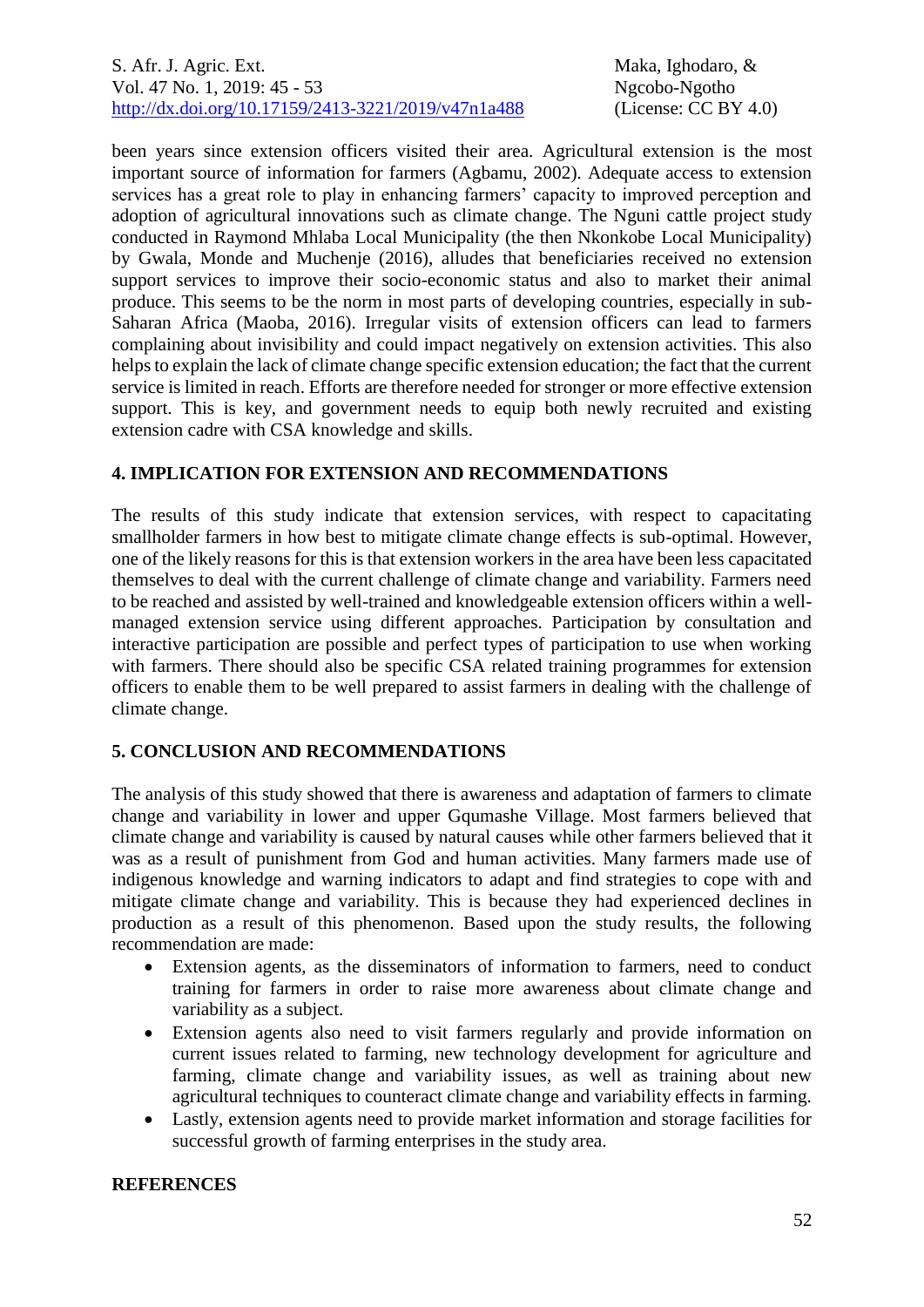been years since extension officers visited their area. Agricultural extension is the most important source of information for farmers (Agbamu, 2002). Adequate access to extension services has a great role to play in enhancing farmers' capacity to improved perception and adoption of agricultural innovations such as climate change. The Nguni cattle project study conducted in Raymond Mhlaba Local Municipality (the then Nkonkobe Local Municipality) by Gwala, Monde and Muchenje (2016), alludes that beneficiaries received no extension support services to improve their socio-economic status and also to market their animal produce. This seems to be the norm in most parts of developing countries, especially in sub-Saharan Africa (Maoba, 2016). Irregular visits of extension officers can lead to farmers complaining about invisibility and could impact negatively on extension activities. This also helps to explain the lack of climate change specific extension education; the fact that the current service is limited in reach. Efforts are therefore needed for stronger or more effective extension support. This is key, and government needs to equip both newly recruited and existing extension cadre with CSA knowledge and skills.

## **4. IMPLICATION FOR EXTENSION AND RECOMMENDATIONS**

The results of this study indicate that extension services, with respect to capacitating smallholder farmers in how best to mitigate climate change effects is sub-optimal. However, one of the likely reasons for this is that extension workers in the area have been less capacitated themselves to deal with the current challenge of climate change and variability. Farmers need to be reached and assisted by well-trained and knowledgeable extension officers within a wellmanaged extension service using different approaches. Participation by consultation and interactive participation are possible and perfect types of participation to use when working with farmers. There should also be specific CSA related training programmes for extension officers to enable them to be well prepared to assist farmers in dealing with the challenge of climate change.

## **5. CONCLUSION AND RECOMMENDATIONS**

The analysis of this study showed that there is awareness and adaptation of farmers to climate change and variability in lower and upper Gqumashe Village. Most farmers believed that climate change and variability is caused by natural causes while other farmers believed that it was as a result of punishment from God and human activities. Many farmers made use of indigenous knowledge and warning indicators to adapt and find strategies to cope with and mitigate climate change and variability. This is because they had experienced declines in production as a result of this phenomenon. Based upon the study results, the following recommendation are made:

- Extension agents, as the disseminators of information to farmers, need to conduct training for farmers in order to raise more awareness about climate change and variability as a subject.
- Extension agents also need to visit farmers regularly and provide information on current issues related to farming, new technology development for agriculture and farming, climate change and variability issues, as well as training about new agricultural techniques to counteract climate change and variability effects in farming.
- Lastly, extension agents need to provide market information and storage facilities for successful growth of farming enterprises in the study area.

## **REFERENCES**